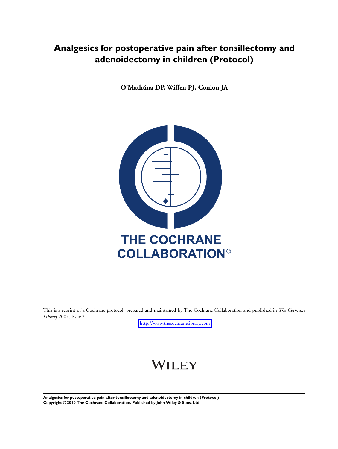# **Analgesics for postoperative pain after tonsillectomy and adenoidectomy in children (Protocol)**

**O'Mathúna DP, Wiffen PJ, Conlon JA**



This is a reprint of a Cochrane protocol, prepared and maintained by The Cochrane Collaboration and published in *The Cochrane Library* 2007, Issue 3

<http://www.thecochranelibrary.com>

# WILEY

**Analgesics for postoperative pain after tonsillectomy and adenoidectomy in children (Protocol) Copyright © 2010 The Cochrane Collaboration. Published by John Wiley & Sons, Ltd.**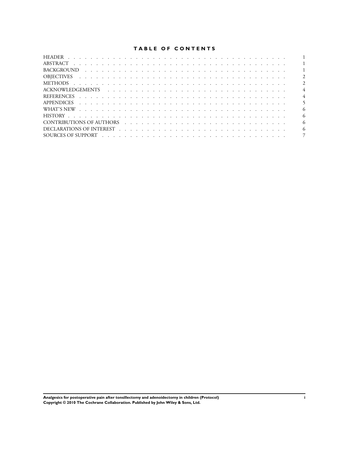# **TABLE OF CONTENTS**

|                                                                                                                                                                                                                                | $\overline{1}$           |
|--------------------------------------------------------------------------------------------------------------------------------------------------------------------------------------------------------------------------------|--------------------------|
|                                                                                                                                                                                                                                | $\overline{1}$           |
|                                                                                                                                                                                                                                | $\overline{1}$           |
|                                                                                                                                                                                                                                | $\overline{2}$           |
|                                                                                                                                                                                                                                | $\overline{2}$           |
|                                                                                                                                                                                                                                | $\overline{4}$           |
|                                                                                                                                                                                                                                | $\overline{4}$           |
|                                                                                                                                                                                                                                | $\overline{\phantom{0}}$ |
| WHAT'S NEW received a received and contract the contract of the contract of the contract of the contract of the contract of the contract of the contract of the contract of the contract of the contract of the contract of th | -6                       |
|                                                                                                                                                                                                                                | -6                       |
|                                                                                                                                                                                                                                | -6                       |
|                                                                                                                                                                                                                                | 6                        |
|                                                                                                                                                                                                                                | $\overline{7}$           |

**Analgesics for postoperative pain after tonsillectomy and adenoidectomy in children (Protocol) i Copyright © 2010 The Cochrane Collaboration. Published by John Wiley & Sons, Ltd.**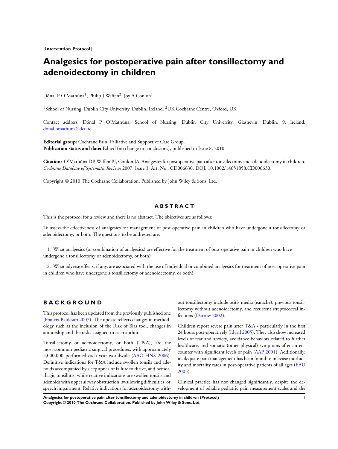**[Intervention Protocol]**

# **Analgesics for postoperative pain after tonsillectomy and adenoidectomy in children**

Dónal P O'Mathúna<sup>1</sup>, Philip J Wiffen<sup>2</sup>, Joy A Conlon<sup>1</sup>

<sup>1</sup> School of Nursing, Dublin City University, Dublin, Ireland. <sup>2</sup>UK Cochrane Centre, Oxford, UK

Contact address: Dónal P O'Mathúna, School of Nursing, Dublin City University, Glasnevin, Dublin, 9, Ireland. [donal.omathuna@dcu.ie](mailto:donal.omathuna@dcu.ie).

**Editorial group:** Cochrane Pain, Palliative and Supportive Care Group. **Publication status and date:** Edited (no change to conclusions), published in Issue 8, 2010.

**Citation:** O'Mathúna DP, Wiffen PJ, Conlon JA. Analgesics for postoperative pain after tonsillectomy and adenoidectomy in children. *Cochrane Database of Systematic Reviews* 2007, Issue 3. Art. No.: CD006630. DOI: 10.1002/14651858.CD006630.

Copyright © 2010 The Cochrane Collaboration. Published by John Wiley & Sons, Ltd.

#### **A B S T R A C T**

This is the protocol for a review and there is no abstract. The objectives are as follows:

To assess the effectiveness of analgesics for management of post-operative pain in children who have undergone a tonsillectomy or adenoidectomy, or both. The questions to be addressed are:

1. What analgesics (or combination of analgesics) are effective for the treatment of post-operative pain in children who have undergone a tonsillectomy or adenoidectomy, or both?

2. What adverse effects, if any, are associated with the use of individual or combined analgesics for treatment of post-operative pain in children who have undergone a tonsillectomy or adenoidectomy, or both?

# **B A C K G R O U N D**

This protocol has been updated from the previously published one [\(Francis-Baldesari 2007\)](#page-5-0). The update reflects changes in methodology such as the inclusion of the Risk of Bias tool, changes in authorship and the tasks assigned to each author.

Tonsillectomy or adenoidectomy, or both (T&A), are the most common pediatric surgical procedures, with approximately 5,000,000 performed each year worldwide ([AAO-HNS 2006](#page-5-0)). Definitive indications for T&A include swollen tonsils and adenoids accompanied by sleep apnea or failure to thrive, and hemorrhagic tonsillitis, while relative indications are swollen tonsils and adenoids with upper airway obstruction, swallowing difficulties, or speech impairment. Relative indications for adenoidectomy with-

out tonsillectomy include otitis media (earache), previous tonsillectomy without adenoidectomy, and recurrent streptococcal infections [\(Darrow 2002](#page-5-0)).

Children report severe pain after T&A - particularly in the first 24 hours post-operatively [\(Idvall 2005\)](#page-5-0). They also show increased levels of fear and anxiety, avoidance behaviors related to further healthcare, and somatic (other physical) symptoms after an encounter with significant levels of pain [\(AAP 2001](#page-5-0)). Additionally, inadequate pain management has been found to increase morbidity and mortality rates in post-operative patients of all ages ([EAU](#page-5-0) [2003](#page-5-0)).

Clinical practice has not changed significantly, despite the development of reliable pediatric pain measurement scales and the

**Analgesics for postoperative pain after tonsillectomy and adenoidectomy in children (Protocol) 1 Copyright © 2010 The Cochrane Collaboration. Published by John Wiley & Sons, Ltd.**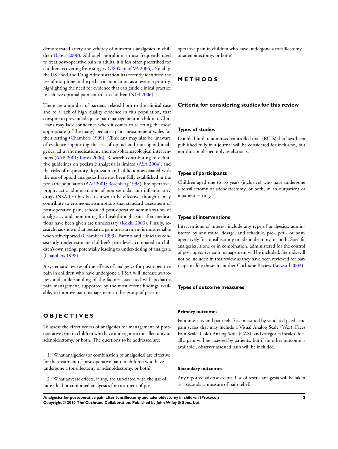demonstrated safety and efficacy of numerous analgesics in children ([Liossi 2006](#page-5-0)). Although morphine is most frequently used to treat post-operative pain in adults, it is less often prescribed for children recovering from surgery ([US Dept of VA 2006\)](#page-5-0). Notably, the US Food and Drug Administration has recently identified the use of morphine in the pediatric population as a research priority, highlighting the need for evidence that can guide clinical practice to achieve optimal pain control in children ([NIH 2006](#page-5-0)).

There are a number of barriers, related both to the clinical case and to a lack of high quality evidence in this population, that conspire to prevent adequate pain management in children. Clinicians may lack confidence when it comes to selecting the most appropriate (of the many) pediatric pain measurement scales for their setting [\(Chambers 1999](#page-5-0)). Clinicians may also be unaware of evidence supporting the use of opioid and non-opioid analgesics, adjuvant medications, and non-pharmacological interventions ([AAP 2001;](#page-5-0) [Liossi 2006](#page-5-0)). Research contributing to definitive guidelines on pediatric analgesia is limited [\(ASA 2004\)](#page-5-0), and the risks of respiratory depression and addiction associated with the use of opioid analgesics have not been fully established in the pediatric population ([AAP 2001;](#page-5-0) [Bösenberg 1998](#page-5-0)). Pre-operative, prophylactic administration of non-steroidal anti-inflammatory drugs (NSAIDs) has been shown to be effective, though it may contribute to erroneous assumptions that standard assessment of post-operative pain, scheduled post-operative administration of analgesics, and monitoring for breakthrough pain after medications have been given are unnecessary [\(Kokki 2003](#page-5-0)). Finally, research has shown that pediatric pain measurement is most reliable when self-reported ([Chambers 1999](#page-5-0)). Parents and clinicians consistently under-estimate children's pain levels compared to children's own rating, potentially leading to under-dosing of analgesia [\(Chambers 1998\)](#page-5-0).

A systematic review of the effects of analgesics for post-operative pain in children who have undergone a T&A will increase awareness and understanding of the factors associated with pediatric pain management, supported by the most recent findings available, to improve pain management in this group of patients.

# **O B J E C T I V E S**

To assess the effectiveness of analgesics for management of postoperative pain in children who have undergone a tonsillectomy or adenoidectomy, or both. The questions to be addressed are:

1. What analgesics (or combination of analgesics) are effective for the treatment of post-operative pain in children who have undergone a tonsillectomy or adenoidectomy, or both?

2. What adverse effects, if any, are associated with the use of individual or combined analgesics for treatment of postoperative pain in children who have undergone a tonsillectomy or adenoidectomy, or both?

#### **M E T H O D S**

#### **Criteria for considering studies for this review**

#### **Types of studies**

Double-blind, randomised controlled trials (RCTs) that have been published fully in a journal will be considered for inclusion, but not thus published only as abstracts.

#### **Types of participants**

Children aged one to 16 years (inclusive) who have undergone a tonsillectomy or adenoidectomy, or both, in an outpatient or inpatient setting.

#### **Types of interventions**

Interventions of interest include any type of analgesics, administered by any route, dosage, and schedule, pre-, peri- or postoperatively for tonsillectomy or adenoidectomy, or both. Specific analgesics, alone or in combination, administered for the control of post-operative pain management will be included. Steroids will not be included in this review as they have been reviewed for participants like these in another Cochrane Review ([Steward 2003\)](#page-5-0).

#### **Types of outcome measures**

#### **Primary outcomes**

Pain intensity and pain relief: as measured by validated paediatric pain scales that may include a Visual Analog Scale (VAS), Faces Pain Scale, Color Analog Scale (CAS), and categorical scales. Ideally, pain will be assessed by patients, but if no other outcome is available , observer assessed pain will be included.

#### **Secondary outcomes**

Any reported adverse events. Use of rescue analgesia will be taken as a secondary measure of pain relief.

**Analgesics for postoperative pain after tonsillectomy and adenoidectomy in children (Protocol) 2 Copyright © 2010 The Cochrane Collaboration. Published by John Wiley & Sons, Ltd.**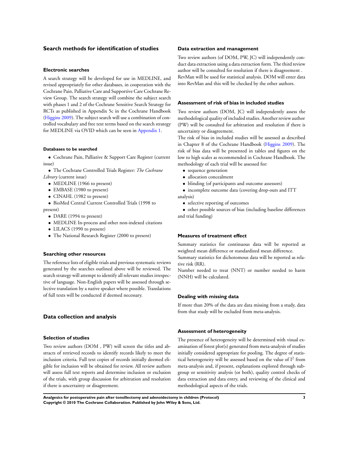#### **Search methods for identification of studies**

#### **Electronic searches**

A search strategy will be developed for use in MEDLINE, and revised appropriately for other databases, in cooperation with the Cochrane Pain, Palliative Care and Supportive Care Cochrane Review Group. The search strategy will combine the subject search with phases 1 and 2 of the Cochrane Sensitive Search Strategy for RCTs as published in Appendix 5c in the Cochrane Handbook [\(Higgins 2009](#page-5-0)). The subject search will use a combination of controlled vocabulary and free text terms based on the search strategy for MEDLINE via OVID which can be seen in [Appendix 1.](#page-6-0)

#### **Databases to be searched**

• Cochrane Pain, Palliative & Support Care Register (current issue)

• The Cochrane Controlled Trials Register: *The Cochrane Library* (current issue)

- MEDLINE (1966 to present)
- EMBASE (1980 to present)
- CINAHL (1982 to present)

• BioMed Central Current Controlled Trials (1998 to present)

- DARE (1994 to present)
- MEDLINE In-process and other non-indexed citations
- LILACS (1990 to present)
- The National Research Register (2000 to present)

#### **Searching other resources**

The reference lists of eligible trials and previous systematic reviews generated by the searches outlined above will be reviewed. The search strategy will attempt to identify all relevant studies irrespective of language. Non-English papers will be assessed through selective translation by a native speaker where possible. Translations of full texts will be conducted if deemed necessary.

#### **Data collection and analysis**

#### **Selection of studies**

Two review authors (DOM , PW) will screen the titles and abstracts of retrieved records to identify records likely to meet the inclusion criteria. Full text copies of records initially deemed eligible for inclusion will be obtained for review. All review authors will assess full text reports and determine inclusion or exclusion of the trials, with group discussion for arbitration and resolution if there is uncertainty or disagreement.

#### **Data extraction and management**

Two review authors (of DOM, PW, JC) will independently conduct data extraction using a data extraction form. The third review author will be consulted for resolution if there is disagreement . RevMan will be used for statistical analysis. DOM will enter data into RevMan and this will be checked by the other authors.

#### **Assessment of risk of bias in included studies**

Two review authors (DOM, JC) will independently assess the methodological quality of included studies. Another review author (PW) will be consulted for arbitration and resolution if there is uncertainty or disagreement.

The risk of bias in included studies will be assessed as described in Chapter 8 of the Cochrane Handbook [\(Higgins 2009\)](#page-5-0). The risk of bias data will be presented in tables and figures on the low to high scales as recommended in Cochrane Handbook. The methodology of each trial will be assessed for:

- sequence generation
- allocation concealment
- blinding (of participants and outcome assessors)

• incomplete outcome data (covering drop-outs and ITT analysis)

• selective reporting of outcomes

• other possible sources of bias (including baseline differences and trial funding)

#### **Measures of treatment effect**

Summary statistics for continuous data will be reported as weighted mean difference or standardized mean difference.

Summary statistics for dichotomous data will be reported as relative risk (RR).

Number needed to treat (NNT) or number needed to harm (NNH) will be calculated.

#### **Dealing with missing data**

If more than 20% of the data are data missing from a study, data from that study will be excluded from meta-analysis.

#### **Assessment of heterogeneity**

The presence of heterogeneity will be determined with visual examination of forest plot(s) generated from meta-analysis of studies initially considered appropriate for pooling. The degree of statistical heterogeneity will be assessed based on the value of  $I^2$  from meta-analysis and, if present, explanations explored through subgroup or sensitivity analysis (or both), quality control checks of data extraction and data entry, and reviewing of the clinical and methodological aspects of the trials.

**Analgesics for postoperative pain after tonsillectomy and adenoidectomy in children (Protocol) 3 Copyright © 2010 The Cochrane Collaboration. Published by John Wiley & Sons, Ltd.**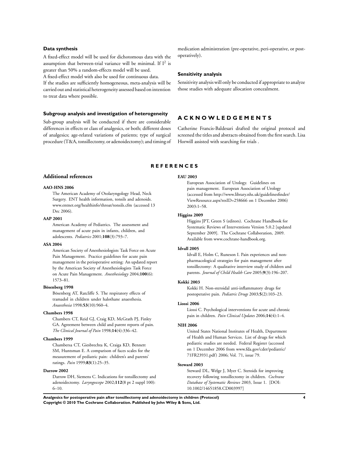#### <span id="page-5-0"></span>**Data synthesis**

A fixed-effect model will be used for dichotomous data with the assumption that between-trial variance will be minimal. If  $I^2$  is greater than 50% a random-effects model will be used.

A fixed-effect model with also be used for continuous data.

If the studies are sufficiently homogeneous, meta-analysis will be carried out and statistical heterogeneity assessed based on intention to treat data where possible.

#### **Subgroup analysis and investigation of heterogeneity**

Sub-group analysis will be conducted if there are considerable differences in effects or class of analgesics, or both; different doses of analgesics; age-related variations of patients; type of surgical procedure (T&A, tonsillectomy, or adenoidectomy); and timing of

medication administration (pre-operative, peri-operative, or postoperatively).

#### **Sensitivity analysis**

Sensitivity analysis will only be conducted if appropriate to analyze those studies with adequate allocation concealment.

## **A C K N O W L E D G E M E N T S**

Catherine Francis-Baldesari drafted the original protocol and screened the titles and abstracts obtained from the first search. Lisa Horwill assisted with searching for trials .

#### **R E F E R E N C E S**

#### **Additional references**

#### **AAO-HNS 2006**

The American Academy of Otolaryngology Head, Neck Surgery. ENT health information, tonsils and adenoids. www.entnet.org/healthinfo/throat/tonsils.cfm (accessed 13 Dec 2006).

#### **AAP 2001**

American Academy of Pediatrics. The assessment and management of acute pain in infants, children, and adolescents. *Pediatrics* 2001;**108**(3):793–7.

#### **ASA 2004**

American Society of Anesthesiologists Task Force on Acute Pain Management. Practice guidelines for acute pain management in the perioperative setting: An updated report by the American Society of Anesthesiologists Task Force on Acute Pain Management. *Anesthesiology* 2004;**100**(6): 1573–81.

#### **Bösenberg 1998**

Bösenberg AT, Ratcliffe S. The respiratory effects of tramadol in children under halothane anaesthesia. *Anaesthesia* 1998;**53**(10):960–4.

#### **Chambers 1998**

Chambers CT, Reid GJ, Craig KD, McGrath PJ, Finley GA. Agreement between child and parent reports of pain. *The Clinical Journal of Pain* 1998;**14**(4):336–42.

#### **Chambers 1999**

Chambersa CT, Giesbrechta K, Craiga KD, Bennett SM, Huntsman E. A comparison of faces scales for the measurement of pediatric pain: children's and parents' ratings. *Pain* 1999;**83**(1):25–35.

#### **Darrow 2002**

Darrow DH, Siemens C. Indications for tonsillectomy and adenoidectomy. *Laryngoscope* 2002;**112**(8 pt 2 suppl 100): 6–10.

#### **EAU 2003**

European Association of Urology. Guidelines on pain management. European Association of Urology (accessed from http://www.library.nhs.uk/guidelinesfinder/ ViewResource.aspx?resID=258666 on 1 December 2006) 2003:1–58.

#### **Higgins 2009**

Higgins JPT, Green S (editors). Cochrane Handbook for Systematic Reviews of Interventions Version 5.0.2 [updated September 2009]. The Cochrane Collaboration, 2009. Available from www.cochrane-handbook.org.

#### **Idvall 2005**

Idvall E, Holm C, Runeson I. Pain experiences and nonpharmacological strategies for pain management after tonsillectomy: A qualitative interview study of children and parents. *Journal of Child Health Care* 2005;**9**(3):196–207.

#### **Kokki 2003**

Kokki H. Non-steroidal anti-inflammatory drugs for postoperative pain. *Pediatric Drugs* 2003;**5**(2):103–23.

#### **Liossi 2006**

Liossi C. Psychological interventions for acute and chronic pain in children. *Pain Clinical Updates* 2006;**14**(4):1–4.

#### **NIH 2006**

United States National Institutes of Health, Department of Health and Human Services. List of drugs for which pediatric studies are needed. Federal Register (accessed on 1 December 2006 from www.fda.gov/cder/pediatric/ 71FR23931.pdf) 2006; Vol. 71, issue 79.

#### **Steward 2003**

Steward DL, Welge J, Myer C. Steroids for improving recovery following tonsillectomy in children. *Cochrane Database of Systematic Reviews* 2003, Issue 1. [DOI: 10.1002/14651858.CD003997]

**Analgesics for postoperative pain after tonsillectomy and adenoidectomy in children (Protocol) 4 Copyright © 2010 The Cochrane Collaboration. Published by John Wiley & Sons, Ltd.**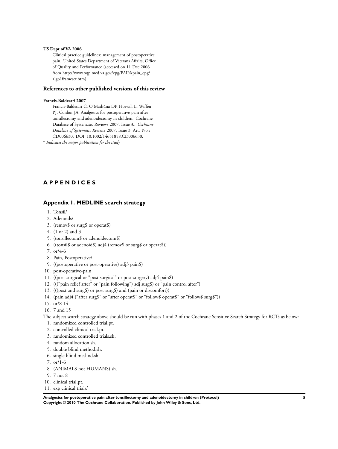#### <span id="page-6-0"></span>**US Dept of VA 2006**

Clinical practice guidelines: management of postoperative pain. United States Department of Veterans Affairs, Office of Quality and Performance (accessed on 11 Dec 2006 from http://www.oqp.med.va.gov/cpg/PAIN/pain\_cpg/ algo1frameset.htm).

#### **References to other published versions of this review**

#### **Francis-Baldesari 2007**

Francis-Baldesari C, O'Mathúna DP, Horwill L, Wiffen PJ, Conlon JA. Analgesics for postoperative pain after tonsillectomy and adenoidectomy in children. Cochrane Database of Systematic Reviews 2007, Issue 3.. *Cochrane Database of Systematic Reviews* 2007, Issue 3, Art. No.: CD006630. DOI: 10.1002/14651858.CD006630.

∗ *Indicates the major publication for the study*

# **A P P E N D I C E S**

#### **Appendix 1. MEDLINE search strategy**

- 1. Tonsil/
- 2. Adenoids/
- 3. (remov\$ or surg\$ or operat\$)
- 4. (1 or 2) and 3
- 5. (tonsillectom\$ or adenoidectom\$)
- 6. ((tonsil\$ or adenoid\$) adj4 (remov\$ or surg\$ or operat\$))
- 7. or/4-6
- 8. Pain, Postoperative/
- 9. ((postoperative or post-operative) adj3 pain\$)
- 10. post-operative-pain
- 11. ((post-surgical or "post surgical" or post-surgery) adj4 pain\$)
- 12. ((("pain relief after" or "pain following") adj surg\$) or "pain control after")
- 13. (((post and surg\$) or post-surg\$) and (pain or discomfort))
- 14. (pain adj4 ("after surg\$" or "after operat\$" or "follow\$ operat\$" or "follow\$ surg\$"))
- 15. or/8-14
- 16. 7 and 15

The subject search strategy above should be run with phases 1 and 2 of the Cochrane Sensitive Search Strategy for RCTs as below:

- 1. randomized controlled trial.pt.
- 2. controlled clinical trial.pt.
- 3. randomized controlled trials.sh.
- 4. random allocation.sh.
- 5. double blind method.sh.
- 6. single blind method.sh.
- 7. or/1-6
- 8. (ANIMALS not HUMANS).sh.
- 9. 7 not 8
- 10. clinical trial.pt.
- 11. exp clinical trials/

**Analgesics for postoperative pain after tonsillectomy and adenoidectomy in children (Protocol) 5 Copyright © 2010 The Cochrane Collaboration. Published by John Wiley & Sons, Ltd.**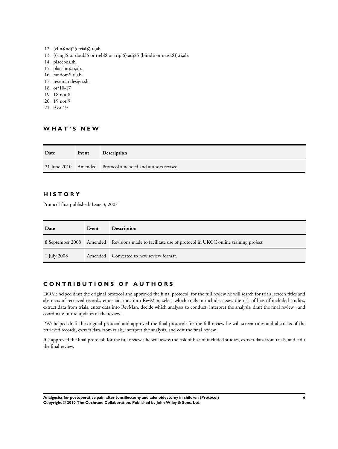12. (clin\$ adj25 trial\$).ti,ab. 13. ((singl\$ or doubl\$ or trebl\$ or tripl\$) adj25 (blind\$ or mask\$)).ti,ab. 14. placebos.sh. 15. placebo\$.ti,ab. 16. random\$.ti,ab. 17. research design.sh. 18. or/10-17 19. 18 not 8 20. 19 not 9 21. 9 or 19

# **W H A T ' S N E W**

| Date | Event | <b>Description</b>                                        |
|------|-------|-----------------------------------------------------------|
|      |       | 21 June 2010 Amended Protocol amended and authors revised |

## **H I S T O R Y**

Protocol first published: Issue 3, 2007

| Date        | Event | <b>Description</b>                                                                                    |
|-------------|-------|-------------------------------------------------------------------------------------------------------|
|             |       | 8 September 2008 Amended Revisions made to facilitate use of protocol in UKCC online training project |
| 1 July 2008 |       | Amended Converted to new review format.                                                               |

# **C O N T R I B U T I O N S O F A U T H O R S**

DOM: helped draft the original protocol and approved the fi nal protocol; for the full review he will search for trials, screen titles and abstracts of retrieved records, enter citations into RevMan, select which trials to include, assess the risk of bias of included studies, extract data from trials, enter data into RevMan, decide which analyses to conduct, interpret the analysis, draft the final review , and coordinate future updates of the review .

PW: helped draft the original protocol and approved the final protocol; for the full review he will screen titles and abstracts of the retrieved records, extract data from trials, interpret the analysis, and edit the final review.

JC: approved the final protocol; for the full review s he will assess the risk of bias of included studies, extract data from trials, and e dit the final review.

**Analgesics for postoperative pain after tonsillectomy and adenoidectomy in children (Protocol) 6 Copyright © 2010 The Cochrane Collaboration. Published by John Wiley & Sons, Ltd.**